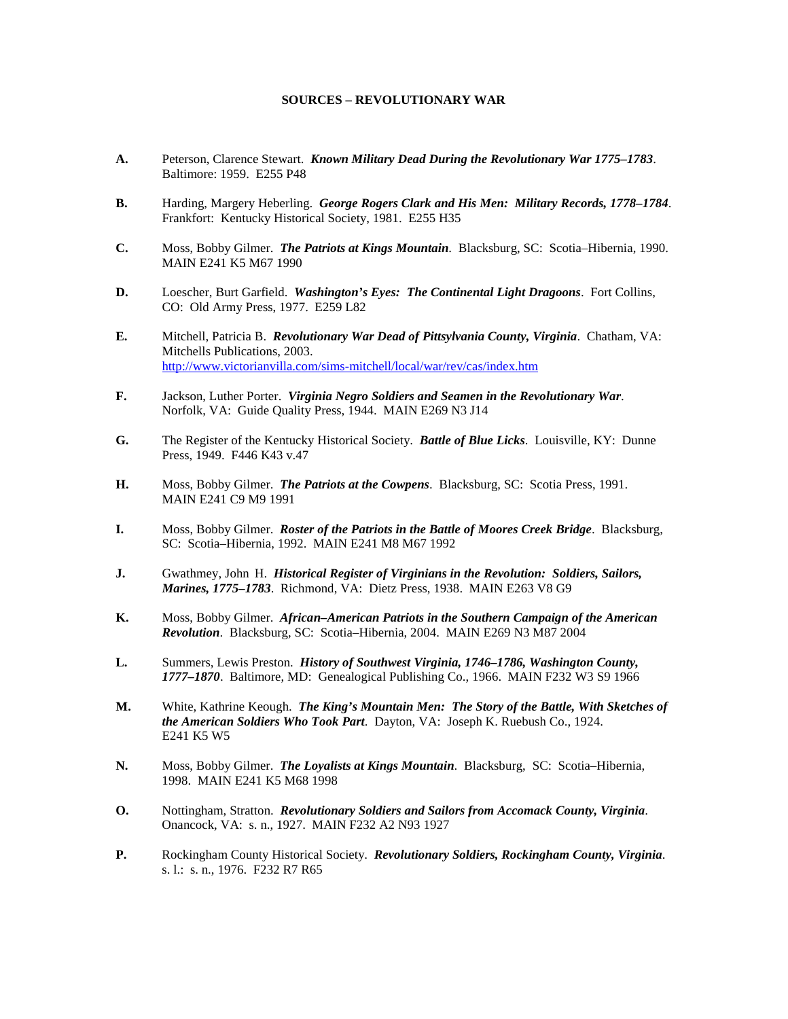## **SOURCES – REVOLUTIONARY WAR**

- **A.** Peterson, Clarence Stewart. *Known Military Dead During the Revolutionary War 1775–1783*. Baltimore: 1959. E255 P48
- **B.** Harding, Margery Heberling. *George Rogers Clark and His Men: Military Records, 1778–1784*. Frankfort: Kentucky Historical Society, 1981. E255 H35
- **C.** Moss, Bobby Gilmer. *The Patriots at Kings Mountain*. Blacksburg, SC: Scotia–Hibernia, 1990. MAIN E241 K5 M67 1990
- **D.** Loescher, Burt Garfield. *Washington's Eyes: The Continental Light Dragoons*. Fort Collins, CO: Old Army Press, 1977. E259 L82
- **E.** Mitchell, Patricia B. *Revolutionary War Dead of Pittsylvania County, Virginia*. Chatham, VA: Mitchells Publications, 2003. <http://www.victorianvilla.com/sims-mitchell/local/war/rev/cas/index.htm>
- **F.** Jackson, Luther Porter. *Virginia Negro Soldiers and Seamen in the Revolutionary War*. Norfolk, VA: Guide Quality Press, 1944. MAIN E269 N3 J14
- **G.** The Register of the Kentucky Historical Society. *Battle of Blue Licks*. Louisville, KY: Dunne Press, 1949. F446 K43 v.47
- **H.** Moss, Bobby Gilmer. *The Patriots at the Cowpens*. Blacksburg, SC: Scotia Press, 1991. MAIN E241 C9 M9 1991
- **I.** Moss, Bobby Gilmer. *Roster of the Patriots in the Battle of Moores Creek Bridge*. Blacksburg, SC: Scotia–Hibernia, 1992. MAIN E241 M8 M67 1992
- **J.** Gwathmey, John H. *Historical Register of Virginians in the Revolution: Soldiers, Sailors, Marines, 1775–1783*. Richmond, VA: Dietz Press, 1938. MAIN E263 V8 G9
- **K.** Moss, Bobby Gilmer. *African–American Patriots in the Southern Campaign of the American Revolution*. Blacksburg, SC: Scotia–Hibernia, 2004. MAIN E269 N3 M87 2004
- **L.** Summers, Lewis Preston. *History of Southwest Virginia, 1746–1786, Washington County, 1777–1870*. Baltimore, MD: Genealogical Publishing Co., 1966. MAIN F232 W3 S9 1966
- **M.** White, Kathrine Keough. *The King's Mountain Men: The Story of the Battle, With Sketches of the American Soldiers Who Took Part*. Dayton, VA: Joseph K. Ruebush Co., 1924. E241 K5 W5
- **N.** Moss, Bobby Gilmer. *The Loyalists at Kings Mountain*. Blacksburg, SC: Scotia–Hibernia, 1998. MAIN E241 K5 M68 1998
- **O.** Nottingham, Stratton. *Revolutionary Soldiers and Sailors from Accomack County, Virginia*. Onancock, VA: s. n., 1927. MAIN F232 A2 N93 1927
- **P.** Rockingham County Historical Society. *Revolutionary Soldiers, Rockingham County, Virginia*. s. l.: s. n., 1976. F232 R7 R65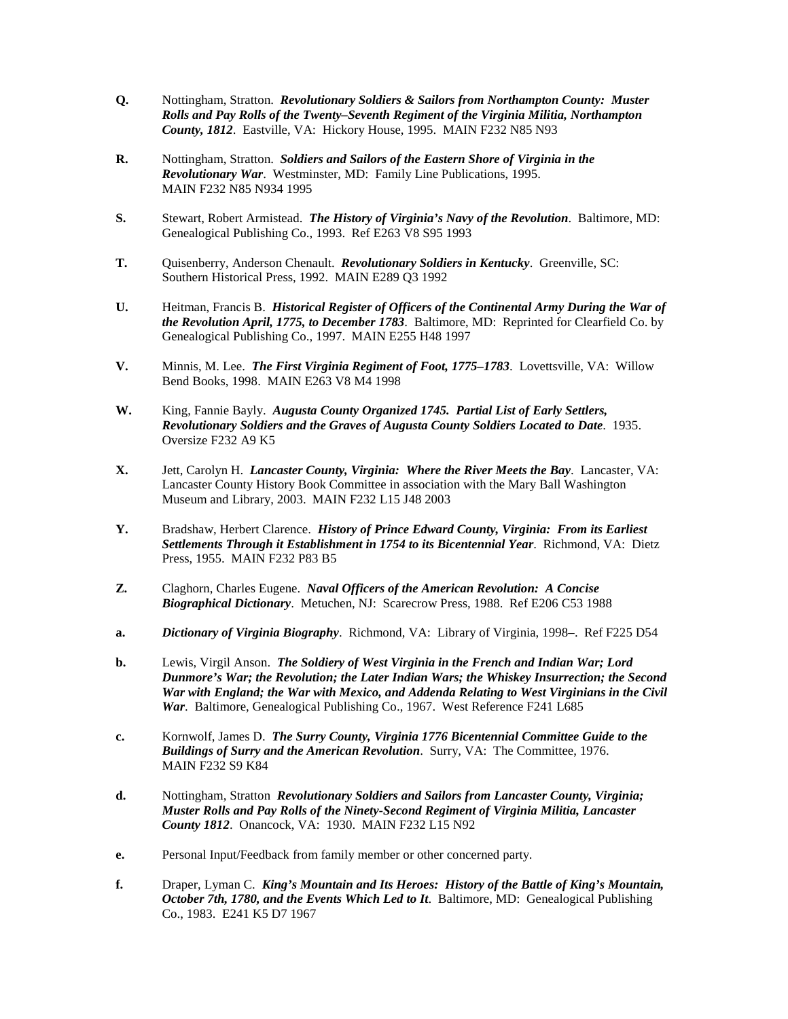- **Q.** Nottingham, Stratton. *Revolutionary Soldiers & Sailors from Northampton County: Muster Rolls and Pay Rolls of the Twenty–Seventh Regiment of the Virginia Militia, Northampton County, 1812*. Eastville, VA: Hickory House, 1995. MAIN F232 N85 N93
- **R.** Nottingham, Stratton. *Soldiers and Sailors of the Eastern Shore of Virginia in the Revolutionary War*. Westminster, MD: Family Line Publications, 1995. MAIN F232 N85 N934 1995
- **S.** Stewart, Robert Armistead. *The History of Virginia's Navy of the Revolution*. Baltimore, MD: Genealogical Publishing Co., 1993. Ref E263 V8 S95 1993
- **T.** Quisenberry, Anderson Chenault. *Revolutionary Soldiers in Kentucky*. Greenville, SC: Southern Historical Press, 1992. MAIN E289 Q3 1992
- **U.** Heitman, Francis B. *Historical Register of Officers of the Continental Army During the War of the Revolution April, 1775, to December 1783*. Baltimore, MD: Reprinted for Clearfield Co. by Genealogical Publishing Co., 1997. MAIN E255 H48 1997
- **V.** Minnis, M. Lee. *The First Virginia Regiment of Foot, 1775–1783*. Lovettsville, VA: Willow Bend Books, 1998. MAIN E263 V8 M4 1998
- **W.** King, Fannie Bayly. *Augusta County Organized 1745. Partial List of Early Settlers, Revolutionary Soldiers and the Graves of Augusta County Soldiers Located to Date*. 1935. Oversize F232 A9 K5
- **X.** Jett, Carolyn H. *Lancaster County, Virginia: Where the River Meets the Bay*. Lancaster, VA: Lancaster County History Book Committee in association with the Mary Ball Washington Museum and Library, 2003. MAIN F232 L15 J48 2003
- **Y.** Bradshaw, Herbert Clarence. *History of Prince Edward County, Virginia: From its Earliest Settlements Through it Establishment in 1754 to its Bicentennial Year*. Richmond, VA: Dietz Press, 1955. MAIN F232 P83 B5
- **Z.** Claghorn, Charles Eugene. *Naval Officers of the American Revolution: A Concise Biographical Dictionary*. Metuchen, NJ: Scarecrow Press, 1988. Ref E206 C53 1988
- **a.** *Dictionary of Virginia Biography*. Richmond, VA: Library of Virginia, 1998–. Ref F225 D54
- **b.** Lewis, Virgil Anson. *The Soldiery of West Virginia in the French and Indian War; Lord Dunmore's War; the Revolution; the Later Indian Wars; the Whiskey Insurrection; the Second War with England; the War with Mexico, and Addenda Relating to West Virginians in the Civil War*. Baltimore, Genealogical Publishing Co., 1967. West Reference F241 L685
- **c.** Kornwolf, James D. *The Surry County, Virginia 1776 Bicentennial Committee Guide to the Buildings of Surry and the American Revolution*. Surry, VA: The Committee, 1976. MAIN F232 S9 K84
- **d.** Nottingham, Stratton *Revolutionary Soldiers and Sailors from Lancaster County, Virginia; Muster Rolls and Pay Rolls of the Ninety-Second Regiment of Virginia Militia, Lancaster County 1812*. Onancock, VA: 1930. MAIN F232 L15 N92
- **e.** Personal Input/Feedback from family member or other concerned party.
- **f.** Draper, Lyman C. *King's Mountain and Its Heroes: History of the Battle of King's Mountain, October 7th, 1780, and the Events Which Led to It. Baltimore, MD: Genealogical Publishing* Co., 1983. E241 K5 D7 1967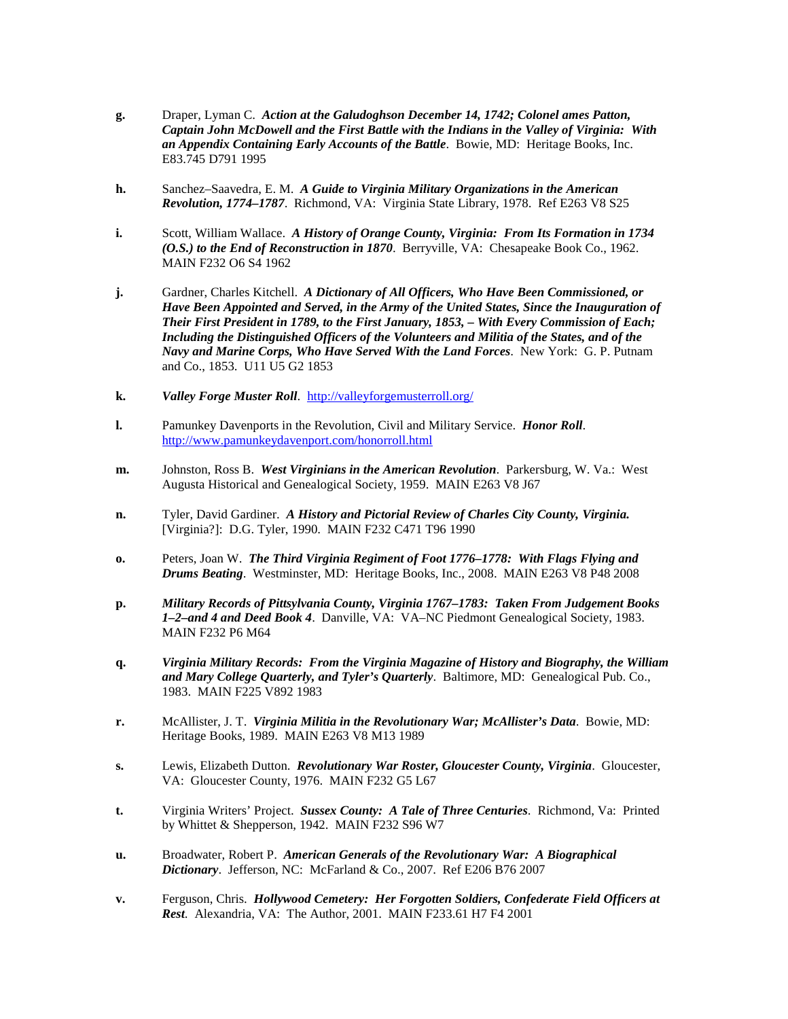- **g.** Draper, Lyman C. *Action at the Galudoghson December 14, 1742; Colonel ames Patton, Captain John McDowell and the First Battle with the Indians in the Valley of Virginia: With an Appendix Containing Early Accounts of the Battle*. Bowie, MD: Heritage Books, Inc. E83.745 D791 1995
- **h.** Sanchez–Saavedra, E. M. *A Guide to Virginia Military Organizations in the American Revolution, 1774–1787*. Richmond, VA: Virginia State Library, 1978. Ref E263 V8 S25
- **i.** Scott, William Wallace. *A History of Orange County, Virginia: From Its Formation in 1734 (O.S.) to the End of Reconstruction in 1870*. Berryville, VA: Chesapeake Book Co., 1962. MAIN F232 O6 S4 1962
- **j.** Gardner, Charles Kitchell. *A Dictionary of All Officers, Who Have Been Commissioned, or Have Been Appointed and Served, in the Army of the United States, Since the Inauguration of Their First President in 1789, to the First January, 1853, – With Every Commission of Each; Including the Distinguished Officers of the Volunteers and Militia of the States, and of the Navy and Marine Corps, Who Have Served With the Land Forces*. New York: G. P. Putnam and Co., 1853. U11 U5 G2 1853
- **k.** *Valley Forge Muster Roll*. <http://valleyforgemusterroll.org/>
- **l.** Pamunkey Davenports in the Revolution, Civil and Military Service. *Honor Roll*. <http://www.pamunkeydavenport.com/honorroll.html>
- **m.** Johnston, Ross B. *West Virginians in the American Revolution*. Parkersburg, W. Va.: West Augusta Historical and Genealogical Society, 1959. MAIN E263 V8 J67
- **n.** Tyler, David Gardiner. *A History and Pictorial Review of Charles City County, Virginia.* [Virginia?]: D.G. Tyler, 1990. MAIN F232 C471 T96 1990
- **o.** Peters, Joan W. *The Third Virginia Regiment of Foot 1776–1778: With Flags Flying and Drums Beating*. Westminster, MD: Heritage Books, Inc., 2008. MAIN E263 V8 P48 2008
- **p.** *Military Records of Pittsylvania County, Virginia 1767–1783: Taken From Judgement Books 1–2–and 4 and Deed Book 4*. Danville, VA: VA–NC Piedmont Genealogical Society, 1983. MAIN F232 P6 M64
- **q.** *Virginia Military Records: From the Virginia Magazine of History and Biography, the William and Mary College Quarterly, and Tyler's Quarterly*. Baltimore, MD: Genealogical Pub. Co., 1983. MAIN F225 V892 1983
- **r.** McAllister, J. T. *Virginia Militia in the Revolutionary War; McAllister's Data*. Bowie, MD: Heritage Books, 1989. MAIN E263 V8 M13 1989
- **s.** Lewis, Elizabeth Dutton. *Revolutionary War Roster, Gloucester County, Virginia*. Gloucester, VA: Gloucester County, 1976. MAIN F232 G5 L67
- **t.** Virginia Writers' Project. *Sussex County: A Tale of Three Centuries*. Richmond, Va: Printed by Whittet & Shepperson, 1942. MAIN F232 S96 W7
- **u.** Broadwater, Robert P. *American Generals of the Revolutionary War: A Biographical Dictionary*. Jefferson, NC: McFarland & Co., 2007. Ref E206 B76 2007
- **v.** Ferguson, Chris. *Hollywood Cemetery: Her Forgotten Soldiers, Confederate Field Officers at Rest*. Alexandria, VA: The Author, 2001. MAIN F233.61 H7 F4 2001